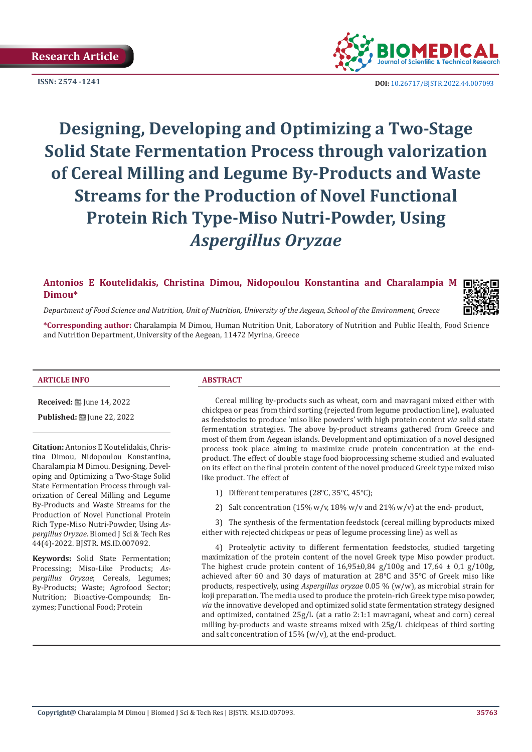

**ISSN: 2574 -1241 DOI:** [10.26717/BJSTR.2022.44.007093](https://dx.doi.org/10.26717/BJSTR.2022.44.007093)

# **Designing, Developing and Optimizing a Two-Stage Solid State Fermentation Process through valorization of Cereal Milling and Legume By-Products and Waste Streams for the Production of Novel Functional Protein Rich Type-Miso Nutri-Powder, Using**  *Aspergillus Oryzae*

# **Antonios E Koutelidakis, Christina Dimou, Nidopoulou Konstantina and Charalampia M Dimou\***



*Department of Food Science and Nutrition, Unit of Nutrition, University of the Aegean, School of the Environment, Greece*

**\*Corresponding author:** Charalampia M Dimou, Human Nutrition Unit, Laboratory of Nutrition and Public Health, Food Science and Nutrition Department, University of the Aegean, 11472 Myrina, Greece

#### **ARTICLE INFO ABSTRACT**

**Received:** [D] June 14, 2022

**Published:** ■ June 22, 2022

**Citation:** Antonios E Koutelidakis, Christina Dimou, Nidopoulou Konstantina, Charalampia M Dimou. Designing, Developing and Optimizing a Two-Stage Solid State Fermentation Process through valorization of Cereal Milling and Legume By-Products and Waste Streams for the Production of Novel Functional Protein Rich Type-Miso Nutri-Powder, Using *Aspergillus Oryzae*. Biomed J Sci & Tech Res 44(4)-2022. BJSTR. MS.ID.007092.

**Keywords:** Solid State Fermentation; Processing; Miso-Like Products; *Aspergillus Oryzae*; Cereals, Legumes; By-Products; Waste; Agrofood Sector; Nutrition; Bioactive-Compounds; Enzymes; Functional Food; Protein

Cereal milling by-products such as wheat, corn and mavragani mixed either with chickpea or peas from third sorting (rejected from legume production line), evaluated as feedstocks to produce 'miso like powders' with high protein content *via* solid state fermentation strategies. The above by-product streams gathered from Greece and most of them from Aegean islands. Development and optimization of a novel designed process took place aiming to maximize crude protein concentration at the endproduct. The effect of double stage food bioprocessing scheme studied and evaluated on its effect on the final protein content of the novel produced Greek type mixed miso like product. The effect of

- 1) Different temperatures (28℃, 35℃, 45℃);
- 2) Salt concentration (15% w/v, 18% w/v and 21% w/v) at the end- product,

3) The synthesis of the fermentation feedstock (cereal milling byproducts mixed either with rejected chickpeas or peas of legume processing line) as well as

4) Proteolytic activity to different fermentation feedstocks, studied targeting maximization of the protein content of the novel Greek type Miso powder product. The highest crude protein content of  $16,95\pm0,84$  g/ $100$ g and  $17,64 \pm 0,1$  g/ $100$ g, achieved after 60 and 30 days of maturation at 28℃ and 35℃ of Greek miso like products, respectively, using *Aspergillus oryzae* 0.05 % (w/w), as microbial strain for koji preparation. The media used to produce the protein-rich Greek type miso powder, *via* the innovative developed and optimized solid state fermentation strategy designed and optimized, contained 25g/L (at a ratio 2:1:1 mavragani, wheat and corn) cereal milling by-products and waste streams mixed with 25g/L chickpeas of third sorting and salt concentration of 15% (w/v), at the end-product.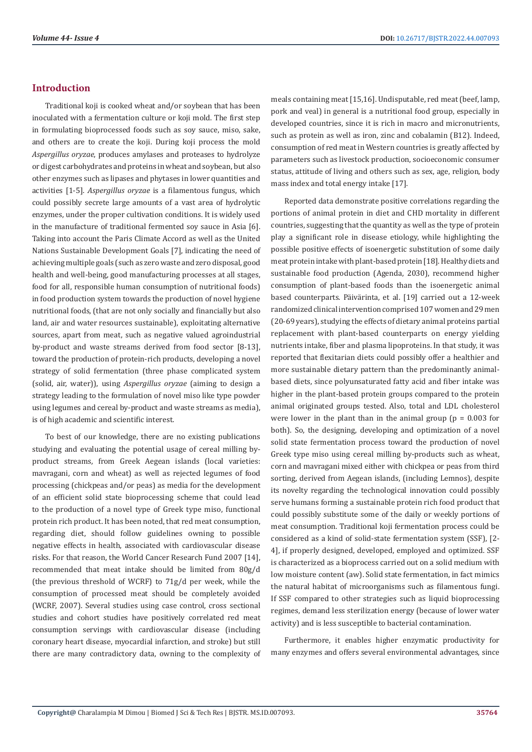# **Introduction**

Traditional koji is cooked wheat and/or soybean that has been inoculated with a fermentation culture or koji mold. The first step in formulating bioprocessed foods such as soy sauce, miso, sake, and others are to create the koji. During koji process the mold *Aspergillus oryzae*, produces amylases and proteases to hydrolyze or digest carbohydrates and proteins in wheat and soybean, but also other enzymes such as lipases and phytases in lower quantities and activities [1-5]. *Aspergillus oryzae* is a filamentous fungus, which could possibly secrete large amounts of a vast area of hydrolytic enzymes, under the proper cultivation conditions. It is widely used in the manufacture of traditional fermented soy sauce in Asia [6]. Taking into account the Paris Climate Accord as well as the United Nations Sustainable Development Goals [7], indicating the need of achieving multiple goals (such as zero waste and zero disposal, good health and well-being, good manufacturing processes at all stages, food for all, responsible human consumption of nutritional foods) in food production system towards the production of novel hygiene nutritional foods, (that are not only socially and financially but also land, air and water resources sustainable), exploitating alternative sources, apart from meat, such as negative valued agroindustrial by-product and waste streams derived from food sector [8-13], toward the production of protein-rich products, developing a novel strategy of solid fermentation (three phase complicated system (solid, air, water)), using *Aspergillus oryzae* (aiming to design a strategy leading to the formulation of novel miso like type powder using legumes and cereal by-product and waste streams as media), is of high academic and scientific interest.

To best of our knowledge, there are no existing publications studying and evaluating the potential usage of cereal milling byproduct streams, from Greek Aegean islands (local varieties: mavragani, corn and wheat) as well as rejected legumes of food processing (chickpeas and/or peas) as media for the development of an efficient solid state bioprocessing scheme that could lead to the production of a novel type of Greek type miso, functional protein rich product. It has been noted, that red meat consumption, regarding diet, should follow guidelines owning to possible negative effects in health, associated with cardiovascular disease risks. For that reason, the World Cancer Research Fund 2007 [14], recommended that meat intake should be limited from 80g/d (the previous threshold of WCRF) to 71g/d per week, while the consumption of processed meat should be completely avoided (WCRF, 2007). Several studies using case control, cross sectional studies and cohort studies have positively correlated red meat consumption servings with cardiovascular disease (including coronary heart disease, myocardial infarction, and stroke) but still there are many contradictory data, owning to the complexity of meals containing meat [15,16]. Undisputable, red meat (beef, lamp, pork and veal) in general is a nutritional food group, especially in developed countries, since it is rich in macro and micronutrients, such as protein as well as iron, zinc and cobalamin (B12). Indeed, consumption of red meat in Western countries is greatly affected by parameters such as livestock production, socioeconomic consumer status, attitude of living and others such as sex, age, religion, body mass index and total energy intake [17].

Reported data demonstrate positive correlations regarding the portions of animal protein in diet and CHD mortality in different countries, suggesting that the quantity as well as the type of protein play a significant role in disease etiology, while highlighting the possible positive effects of isoenergetic substitution of some daily meat protein intake with plant-based protein [18]. Healthy diets and sustainable food production (Agenda, 2030), recommend higher consumption of plant-based foods than the isoenergetic animal based counterparts. Päivärinta, et al. [19] carried out a 12-week randomized clinical intervention comprised 107 women and 29 men (20-69 years), studying the effects of dietary animal proteins partial replacement with plant-based counterparts on energy yielding nutrients intake, fiber and plasma lipoproteins. In that study, it was reported that flexitarian diets could possibly offer a healthier and more sustainable dietary pattern than the predominantly animalbased diets, since polyunsaturated fatty acid and fiber intake was higher in the plant-based protein groups compared to the protein animal originated groups tested. Also, total and LDL cholesterol were lower in the plant than in the animal group ( $p = 0.003$  for both). So, the designing, developing and optimization of a novel solid state fermentation process toward the production of novel Greek type miso using cereal milling by-products such as wheat, corn and mavragani mixed either with chickpea or peas from third sorting, derived from Aegean islands, (including Lemnos), despite its novelty regarding the technological innovation could possibly serve humans forming a sustainable protein rich food product that could possibly substitute some of the daily or weekly portions of meat consumption. Traditional koji fermentation process could be considered as a kind of solid-state fermentation system (SSF), [2- 4], if properly designed, developed, employed and optimized. SSF is characterized as a bioprocess carried out on a solid medium with low moisture content (aw). Solid state fermentation, in fact mimics the natural habitat of microorganisms such as filamentous fungi. If SSF compared to other strategies such as liquid bioprocessing regimes, demand less sterilization energy (because of lower water activity) and is less susceptible to bacterial contamination.

Furthermore, it enables higher enzymatic productivity for many enzymes and offers several environmental advantages, since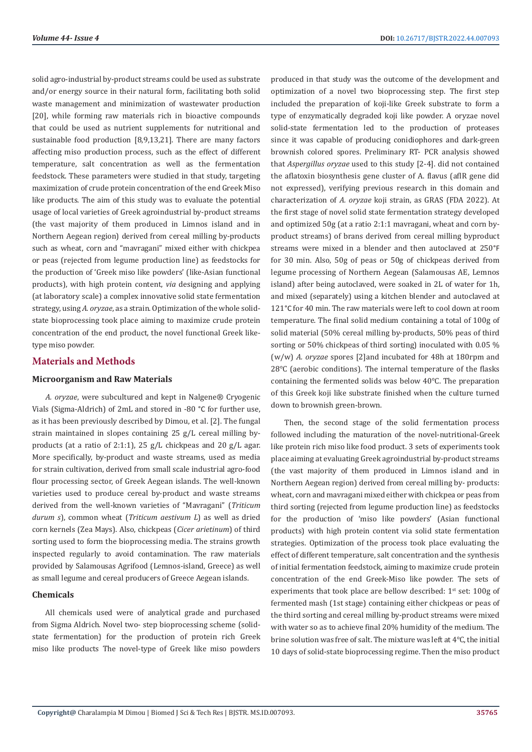solid agro-industrial by-product streams could be used as substrate and/or energy source in their natural form, facilitating both solid waste management and minimization of wastewater production [20], while forming raw materials rich in bioactive compounds that could be used as nutrient supplements for nutritional and sustainable food production [8,9,13,21]. There are many factors affecting miso production process, such as the effect of different temperature, salt concentration as well as the fermentation feedstock. These parameters were studied in that study, targeting maximization of crude protein concentration of the end Greek Miso like products. The aim of this study was to evaluate the potential usage of local varieties of Greek agroindustrial by-product streams (the vast majority of them produced in Limnos island and in Northern Aegean region) derived from cereal milling by-products such as wheat, corn and "mavragani" mixed either with chickpea or peas (rejected from legume production line) as feedstocks for the production of 'Greek miso like powders' (like-Asian functional products), with high protein content, *via* designing and applying (at laboratory scale) a complex innovative solid state fermentation strategy, using *A. oryzae*, as a strain. Optimization of the whole solidstate bioprocessing took place aiming to maximize crude protein concentration of the end product, the novel functional Greek liketype miso powder.

# **Materials and Methods**

# **Microorganism and Raw Materials**

*A. oryzae*, were subcultured and kept in Nalgene® Cryogenic Vials (Sigma-Aldrich) of 2mL and stored in -80 °C for further use, as it has been previously described by Dimou, et al. [2]. The fungal strain maintained in slopes containing 25 g/L cereal milling byproducts (at a ratio of 2:1:1), 25 g/L chickpeas and 20 g/L agar. More specifically, by-product and waste streams, used as media for strain cultivation, derived from small scale industrial agro-food flour processing sector, of Greek Aegean islands. The well-known varieties used to produce cereal by-product and waste streams derived from the well-known varieties of "Mavragani" (*Triticum durum s*), common wheat (*Triticum aestivum L*) as well as dried corn kernels (Zea Mays). Also, chickpeas (*Cicer arietinum*) of third sorting used to form the bioprocessing media. The strains growth inspected regularly to avoid contamination. The raw materials provided by Salamousas Agrifood (Lemnos-island, Greece) as well as small legume and cereal producers of Greece Aegean islands.

#### **Chemicals**

All chemicals used were of analytical grade and purchased from Sigma Aldrich. Novel two- step bioprocessing scheme (solidstate fermentation) for the production of protein rich Greek miso like products The novel-type of Greek like miso powders produced in that study was the outcome of the development and optimization of a novel two bioprocessing step. The first step included the preparation of koji-like Greek substrate to form a type of enzymatically degraded koji like powder. A oryzae novel solid-state fermentation led to the production of proteases since it was capable of producing conidiophores and dark-green brownish colored spores. Preliminary RT- PCR analysis showed that *Aspergillus oryzae* used to this study [2-4]. did not contained the aflatoxin biosynthesis gene cluster of A. flavus (aflR gene did not expressed), verifying previous research in this domain and characterization of *A. oryzae* koji strain, as GRAS (FDA 2022). At the first stage of novel solid state fermentation strategy developed and optimized 50g (at a ratio 2:1:1 mavragani, wheat and corn byproduct streams) of brans derived from cereal milling byproduct streams were mixed in a blender and then autoclaved at 250°F for 30 min. Also, 50g of peas or 50g of chickpeas derived from legume processing of Northern Aegean (Salamousas AE, Lemnos island) after being autoclaved, were soaked in 2L of water for 1h, and mixed (separately) using a kitchen blender and autoclaved at 121°C for 40 min. The raw materials were left to cool down at room temperature. The final solid medium containing a total of 100g of solid material (50% cereal milling by-products, 50% peas of third sorting or 50% chickpeas of third sorting) inoculated with 0.05 % (w/w) *A. oryzae* spores [2]and incubated for 48h at 180rpm and 28℃ (aerobic conditions). The internal temperature of the flasks containing the fermented solids was below 40℃. The preparation of this Greek koji like substrate finished when the culture turned down to brownish green-brown.

Then, the second stage of the solid fermentation process followed including the maturation of the novel-nutritional-Greek like protein rich miso like food product. 3 sets of experiments took place aiming at evaluating Greek agroindustrial by-product streams (the vast majority of them produced in Limnos island and in Northern Aegean region) derived from cereal milling by- products: wheat, corn and mavragani mixed either with chickpea or peas from third sorting (rejected from legume production line) as feedstocks for the production of 'miso like powders' (Asian functional products) with high protein content via solid state fermentation strategies. Optimization of the process took place evaluating the effect of different temperature, salt concentration and the synthesis of initial fermentation feedstock, aiming to maximize crude protein concentration of the end Greek-Miso like powder. The sets of experiments that took place are bellow described:  $1<sup>st</sup>$  set: 100g of fermented mash (1st stage) containing either chickpeas or peas of the third sorting and cereal milling by-product streams were mixed with water so as to achieve final 20% humidity of the medium. The brine solution was free of salt. The mixture was left at 4℃, the initial 10 days of solid-state bioprocessing regime. Then the miso product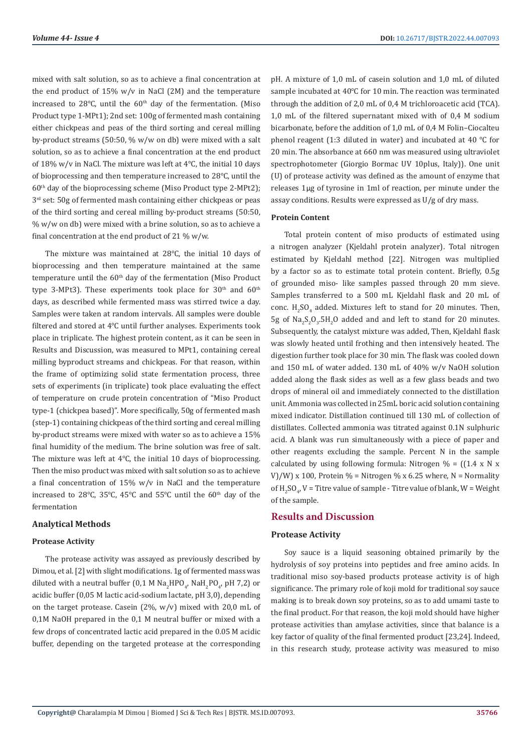mixed with salt solution, so as to achieve a final concentration at the end product of 15% w/v in NaCl (2M) and the temperature increased to 28 $°C$ , until the 60<sup>th</sup> day of the fermentation. (Miso Product type 1-MPt1); 2nd set: 100g of fermented mash containing either chickpeas and peas of the third sorting and cereal milling by-product streams (50:50, % w/w on db) were mixed with a salt solution, so as to achieve a final concentration at the end product of 18% w/v in NaCl. The mixture was left at 4℃, the initial 10 days of bioprocessing and then temperature increased to 28℃, until the  $60<sup>th</sup>$  day of the bioprocessing scheme (Miso Product type 2-MPt2); 3<sup>rd</sup> set: 50g of fermented mash containing either chickpeas or peas of the third sorting and cereal milling by-product streams (50:50, % w/w on db) were mixed with a brine solution, so as to achieve a final concentration at the end product of 21 % w/w.

The mixture was maintained at 28℃, the initial 10 days of bioprocessing and then temperature maintained at the same temperature until the 60<sup>th</sup> day of the fermentation (Miso Product type 3-MPt3). These experiments took place for  $30<sup>th</sup>$  and  $60<sup>th</sup>$ days, as described while fermented mass was stirred twice a day. Samples were taken at random intervals. All samples were double filtered and stored at 4℃ until further analyses. Experiments took place in triplicate. The highest protein content, as it can be seen in Results and Discussion, was measured to MPt1, containing cereal milling byproduct streams and chickpeas. For that reason, within the frame of optimizing solid state fermentation process, three sets of experiments (in triplicate) took place evaluating the effect of temperature on crude protein concentration of "Miso Product type-1 (chickpea based)". More specifically, 50g of fermented mash (step-1) containing chickpeas of the third sorting and cereal milling by-product streams were mixed with water so as to achieve a 15% final humidity of the medium. The brine solution was free of salt. The mixture was left at 4℃, the initial 10 days of bioprocessing. Then the miso product was mixed with salt solution so as to achieve a final concentration of 15% w/v in NaCl and the temperature increased to 28°C, 35°C, 45°C and 55°C until the 60<sup>th</sup> day of the fermentation

#### **Analytical Methods**

#### **Protease Activity**

The protease activity was assayed as previously described by Dimou, et al. [2] with slight modifications. 1g of fermented mass was diluted with a neutral buffer (0,1 M  $\text{Na}_2\text{HPO}_{4}$ ,  $\text{Na}_2\text{PO}_{4}$ , pH 7,2) or acidic buffer (0,05 M lactic acid-sodium lactate, pH 3,0), depending on the target protease. Casein  $(2\%, w/v)$  mixed with 20,0 mL of 0,1M NaOH prepared in the 0,1 M neutral buffer or mixed with a few drops of concentrated lactic acid prepared in the 0.05 M acidic buffer, depending on the targeted protease at the corresponding pH. A mixture of 1,0 mL of casein solution and 1,0 mL of diluted sample incubated at 40℃ for 10 min. The reaction was terminated through the addition of 2,0 mL of 0,4 M trichloroacetic acid (TCA). 1,0 mL of the filtered supernatant mixed with of 0,4 M sodium bicarbonate, before the addition of 1,0 mL of 0,4 M Folin–Ciocalteu phenol reagent (1:3 diluted in water) and incubated at 40 ℃ for 20 min. The absorbance at 660 nm was measured using ultraviolet spectrophotometer (Giorgio Bormac UV 10plus, Italy)). One unit (U) of protease activity was defined as the amount of enzyme that releases 1μg of tyrosine in 1ml of reaction, per minute under the assay conditions. Results were expressed as U/g of dry mass.

#### **Protein Content**

Total protein content of miso products of estimated using a nitrogen analyzer (Kjeldahl protein analyzer). Total nitrogen estimated by Kjeldahl method [22]. Nitrogen was multiplied by a factor so as to estimate total protein content. Briefly, 0.5g of grounded miso- like samples passed through 20 mm sieve. Samples transferred to a 500 mL Kjeldahl flask and 20 mL of conc.  $H_2SO_4$  added. Mixtures left to stand for 20 minutes. Then,  $5g$  of Na<sub>2</sub>S<sub>2</sub>O<sub>3</sub>.5H<sub>2</sub>O added and and left to stand for 20 minutes. Subsequently, the catalyst mixture was added, Then, Kjeldahl flask was slowly heated until frothing and then intensively heated. The digestion further took place for 30 min. The flask was cooled down and 150 mL of water added. 130 mL of 40% w/v NaOH solution added along the flask sides as well as a few glass beads and two drops of mineral oil and immediately connected to the distillation unit. Ammonia was collected in 25mL boric acid solution containing mixed indicator. Distillation continued till 130 mL of collection of distillates. Collected ammonia was titrated against 0.1N sulphuric acid. A blank was run simultaneously with a piece of paper and other reagents excluding the sample. Percent N in the sample calculated by using following formula: Nitrogen  $\% = ((1.4 \times N \times$ V)/W) x 100, Protein  $\%$  = Nitrogen  $\%$  x 6.25 where, N = Normality of  $H_2SO_{4}$ ,  $V =$  Titre value of sample - Titre value of blank,  $W =$  Weight of the sample.

#### **Results and Discussion**

# **Protease Activity**

Soy sauce is a liquid seasoning obtained primarily by the hydrolysis of soy proteins into peptides and free amino acids. In traditional miso soy-based products protease activity is of high significance. The primary role of koji mold for traditional soy sauce making is to break down soy proteins, so as to add umami taste to the final product. For that reason, the koji mold should have higher protease activities than amylase activities, since that balance is a key factor of quality of the final fermented product [23,24]. Indeed, in this research study, protease activity was measured to miso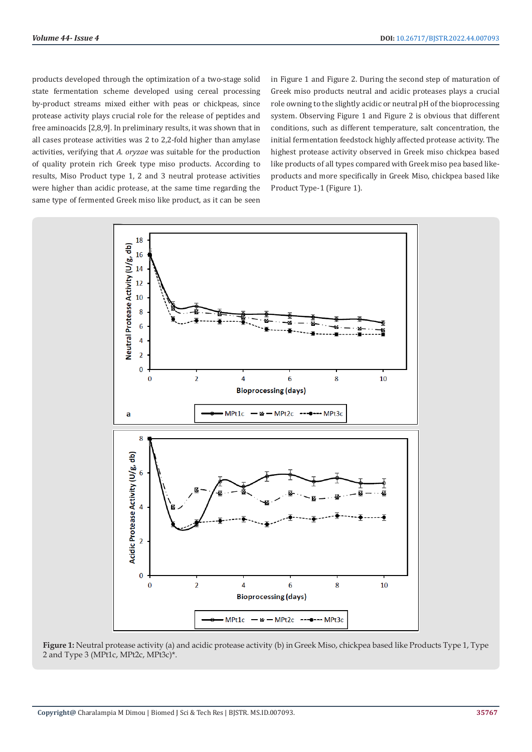products developed through the optimization of a two-stage solid state fermentation scheme developed using cereal processing by-product streams mixed either with peas or chickpeas, since protease activity plays crucial role for the release of peptides and free aminoacids [2,8,9]. In preliminary results, it was shown that in all cases protease activities was 2 to 2,2-fold higher than amylase activities, verifying that *A. oryzae* was suitable for the production of quality protein rich Greek type miso products. According to results, Miso Product type 1, 2 and 3 neutral protease activities were higher than acidic protease, at the same time regarding the same type of fermented Greek miso like product, as it can be seen

in Figure 1 and Figure 2. During the second step of maturation of Greek miso products neutral and acidic proteases plays a crucial role owning to the slightly acidic or neutral pH of the bioprocessing system. Observing Figure 1 and Figure 2 is obvious that different conditions, such as different temperature, salt concentration, the initial fermentation feedstock highly affected protease activity. The highest protease activity observed in Greek miso chickpea based like products of all types compared with Greek miso pea based likeproducts and more specifically in Greek Miso, chickpea based like Product Type-1 (Figure 1).



**Figure 1:** Neutral protease activity (a) and acidic protease activity (b) in Greek Miso, chickpea based like Products Type 1, Type 2 and Type 3 (MPt1c, MPt2c, MPt3c)\*.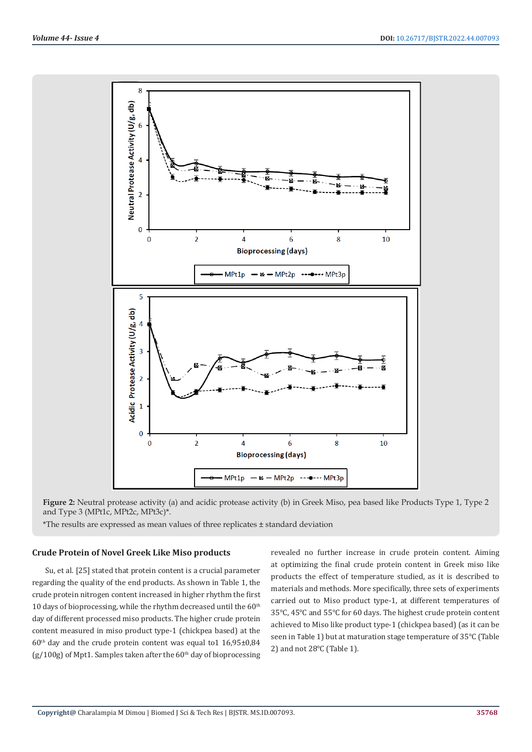

**Figure 2:** Neutral protease activity (a) and acidic protease activity (b) in Greek Miso, pea based like Products Type 1, Type 2 and Type 3 (MPt1c, MPt2c, MPt3c)\*.

\*The results are expressed as mean values of three replicates ± standard deviation

### **Crude Protein of Novel Greek Like Miso products**

Su, et al. [25] stated that protein content is a crucial parameter regarding the quality of the end products. As shown in Table 1, the crude protein nitrogen content increased in higher rhythm the first 10 days of bioprocessing, while the rhythm decreased until the  $60<sup>th</sup>$ day of different processed miso products. The higher crude protein content measured in miso product type-1 (chickpea based) at the  $60<sup>th</sup>$  day and the crude protein content was equal to 1 16,95±0,84  $(g/100g)$  of Mpt1. Samples taken after the 60<sup>th</sup> day of bioprocessing revealed no further increase in crude protein content. Aiming at optimizing the final crude protein content in Greek miso like products the effect of temperature studied, as it is described to materials and methods. More specifically, three sets of experiments carried out to Miso product type-1, at different temperatures of 35℃, 45℃ and 55℃ for 60 days. The highest crude protein content achieved to Miso like product type-1 (chickpea based) (as it can be seen in Τable 1) but at maturation stage temperature of 35℃ (Table 2) and not 28℃ (Table 1).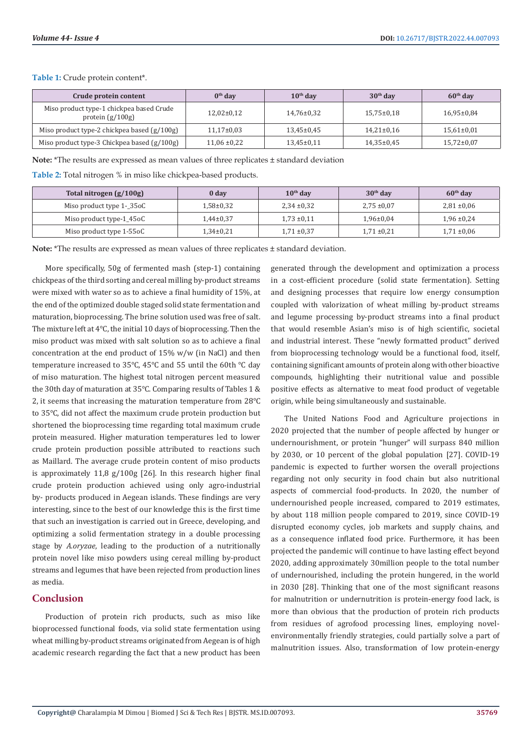**Table 1:** Crude protein content\*.

| Crude protein content                                          | $0th$ dav        | $10th$ day       | $30th$ day     | $60th$ day       |
|----------------------------------------------------------------|------------------|------------------|----------------|------------------|
| Miso product type-1 chickpea based Crude<br>protein $(g/100g)$ | $12,02\pm0,12$   | $14,76\pm0.32$   | $15,75\pm0,18$ | $16,95 \pm 0.84$ |
| Miso product type-2 chickpea based (g/100g)                    | $11,17\pm0.03$   | $13.45 \pm 0.45$ | $14,21\pm0,16$ | $15,61\pm0.01$   |
| Miso product type-3 Chickpea based (g/100g)                    | $11,06 \pm 0.22$ | $13,45\pm0,11$   | $14,35\pm0.45$ | $15,72\pm0.07$   |

**Note:** \*The results are expressed as mean values of three replicates ± standard deviation

**Table 2:** Total nitrogen % in miso like chickpea-based products.

| Total nitrogen $(g/100g)$ | 0 <sub>day</sub> | $10th$ day      | $30th$ day      | $60th$ day      |
|---------------------------|------------------|-----------------|-----------------|-----------------|
| Miso product type 1-_35oC | 1.58±0.32        | $2,34 \pm 0,32$ | $2.75 \pm 0.07$ | $2,81 \pm 0,06$ |
| Miso product type-1_45oC  | $1.44 \pm 0.37$  | $1.73 \pm 0.11$ | $1.96 \pm 0.04$ | $1.96 \pm 0.24$ |
| Miso product type 1-55oC  | $1,34\pm0.21$    | $1,71 \pm 0,37$ | $1,71 \pm 0,21$ | $1,71 \pm 0.06$ |

**Note:** \*The results are expressed as mean values of three replicates ± standard deviation.

More specifically, 50g of fermented mash (step-1) containing chickpeas of the third sorting and cereal milling by-product streams were mixed with water so as to achieve a final humidity of 15%, at the end of the optimized double staged solid state fermentation and maturation, bioprocessing. The brine solution used was free of salt. The mixture left at 4℃, the initial 10 days of bioprocessing. Then the miso product was mixed with salt solution so as to achieve a final concentration at the end product of 15% w/w (in NaCl) and then temperature increased to 35℃, 45℃ and 55 until the 60th ℃ day of miso maturation. The highest total nitrogen percent measured the 30th day of maturation at 35℃. Comparing results of Tables 1 & 2, it seems that increasing the maturation temperature from 28℃ to 35℃, did not affect the maximum crude protein production but shortened the bioprocessing time regarding total maximum crude protein measured. Higher maturation temperatures led to lower crude protein production possible attributed to reactions such as Maillard. The average crude protein content of miso products is approximately 11,8 g/100g [26]. In this research higher final crude protein production achieved using only agro-industrial by- products produced in Aegean islands. These findings are very interesting, since to the best of our knowledge this is the first time that such an investigation is carried out in Greece, developing, and optimizing a solid fermentation strategy in a double processing stage by *A.oryzae*, leading to the production of a nutritionally protein novel like miso powders using cereal milling by-product streams and legumes that have been rejected from production lines as media.

# **Conclusion**

Production of protein rich products, such as miso like bioprocessed functional foods, via solid state fermentation using wheat milling by-product streams originated from Aegean is of high academic research regarding the fact that a new product has been

generated through the development and optimization a process in a cost-efficient procedure (solid state fermentation). Setting and designing processes that require low energy consumption coupled with valorization of wheat milling by-product streams and legume processing by-product streams into a final product that would resemble Asian's miso is of high scientific, societal and industrial interest. These "newly formatted product" derived from bioprocessing technology would be a functional food, itself, containing significant amounts of protein along with other bioactive compounds, highlighting their nutritional value and possible positive effects as alternative to meat food product of vegetable origin, while being simultaneously and sustainable.

The United Nations Food and Agriculture projections in 2020 projected that the number of people affected by hunger or undernourishment, or protein "hunger" will surpass 840 million by 2030, or 10 percent of the global population [27]. COVID-19 pandemic is expected to further worsen the overall projections regarding not only security in food chain but also nutritional aspects of commercial food-products. In 2020, the number of undernourished people increased, compared to 2019 estimates, by about 118 million people compared to 2019, since COVID-19 disrupted economy cycles, job markets and supply chains, and as a consequence inflated food price. Furthermore, it has been projected the pandemic will continue to have lasting effect beyond 2020, adding approximately 30million people to the total number of undernourished, including the protein hungered, in the world in 2030 [28]. Thinking that one of the most significant reasons for malnutrition or undernutrition is protein-energy food lack, is more than obvious that the production of protein rich products from residues of agrofood processing lines, employing novelenvironmentally friendly strategies, could partially solve a part of malnutrition issues. Also, transformation of low protein-energy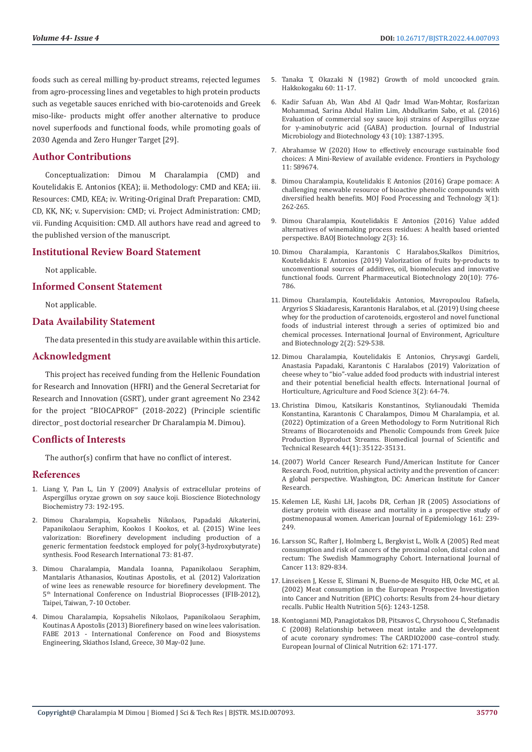foods such as cereal milling by-product streams, rejected legumes from agro-processing lines and vegetables to high protein products such as vegetable sauces enriched with bio-carotenoids and Greek miso-like- products might offer another alternative to produce novel superfoods and functional foods, while promoting goals of 2030 Agenda and Zero Hunger Target [29].

# **Author Contributions**

Conceptualization: Dimou M Charalampia (CMD) and Koutelidakis E. Antonios (KEA); ii. Methodology: CMD and KEA; iii. Resources: CMD, KEA; iv. Writing-Original Draft Preparation: CMD, CD, KK, NK; v. Supervision: CMD; vi. Project Administration: CMD; vii. Funding Acquisition: CMD. All authors have read and agreed to the published version of the manuscript.

#### **Institutional Review Board Statement**

Not applicable.

#### **Informed Consent Statement**

Not applicable.

#### **Data Availability Statement**

The data presented in this study are available within this article.

#### **Acknowledgment**

This project has received funding from the Hellenic Foundation for Research and Innovation (HFRI) and the General Secretariat for Research and Innovation (GSRT), under grant agreement No 2342 for the project "BIOCAPROF" (2018-2022) (Principle scientific director\_ post doctorial researcher Dr Charalampia M. Dimou).

#### **Conflicts of Interests**

The author(s) confirm that have no conflict of interest.

# **References**

- 1. [Liang Y, Pan L, Lin Y \(2009\) Analysis of extracellular proteins of](https://pubmed.ncbi.nlm.nih.gov/19129648/)  [Aspergillus oryzae grown on soy sauce koji. Bioscience Biotechnology](https://pubmed.ncbi.nlm.nih.gov/19129648/)  [Biochemistry 73: 192-195.](https://pubmed.ncbi.nlm.nih.gov/19129648/)
- 2. [Dimou Charalampia, Kopsahelis Nikolaos, Papadaki Aikaterini,](https://www.sciencedirect.com/science/article/abs/pii/S0963996915000836)  [Papanikolaou Seraphim, Kookos I Kookos, et al. \(2015\) Wine lees](https://www.sciencedirect.com/science/article/abs/pii/S0963996915000836)  [valorization: Biorefinery development including production of a](https://www.sciencedirect.com/science/article/abs/pii/S0963996915000836)  [generic fermentation feedstock employed for poly\(3-hydroxybutyrate\)](https://www.sciencedirect.com/science/article/abs/pii/S0963996915000836)  [synthesis. Food Research International 73: 81-87.](https://www.sciencedirect.com/science/article/abs/pii/S0963996915000836)
- 3. [Dimou Charalampia, Mandala Ioanna, Papanikolaou Seraphim,](https://www.researchgate.net/publication/309234799_Valorization_of_wine_lees_as_renewable_resource_for_biorefinery_development)  [Mantalaris Athanasios, Koutinas Apostolis, et al. \(2012\) Valorization](https://www.researchgate.net/publication/309234799_Valorization_of_wine_lees_as_renewable_resource_for_biorefinery_development)  [of wine lees as renewable resource for biorefinery development. The](https://www.researchgate.net/publication/309234799_Valorization_of_wine_lees_as_renewable_resource_for_biorefinery_development)  5[th International Conference on Industrial Bioprocesses \(IFIB-2012\),](https://www.researchgate.net/publication/309234799_Valorization_of_wine_lees_as_renewable_resource_for_biorefinery_development)  [Taipei, Taiwan, 7-10 October.](https://www.researchgate.net/publication/309234799_Valorization_of_wine_lees_as_renewable_resource_for_biorefinery_development)
- 4. [Dimou Charalampia, Kopsahelis Nikolaos, Papanikolaou Seraphim,](https://www.researchgate.net/publication/309160892_Biorefinery_based_on_wine_lees_valorisation)  [Koutinas A Apostolis \(2013\) Biorefinery based on wine lees valorisation.](https://www.researchgate.net/publication/309160892_Biorefinery_based_on_wine_lees_valorisation)  [FABE 2013 - International Conference on Food and Biosystems](https://www.researchgate.net/publication/309160892_Biorefinery_based_on_wine_lees_valorisation)  [Engineering, Skiathos Island, Greece, 30 May-02 June.](https://www.researchgate.net/publication/309160892_Biorefinery_based_on_wine_lees_valorisation)
- 5. Tanaka T, Okazaki N (1982) Growth of mold uncoocked grain. Hakkokogaku 60: 11-17.
- 6. [Kadir Safuan Ab, Wan Abd Al Qadr Imad Wan-Mohtar, Rosfarizan](https://academic.oup.com/jimb/article/43/10/1387/5995988) [Mohammad, Sarina Abdul Halim Lim, Abdulkarim Sabo, et al. \(2016\)](https://academic.oup.com/jimb/article/43/10/1387/5995988) [Evaluation of commercial soy sauce koji strains of Aspergillus oryzae](https://academic.oup.com/jimb/article/43/10/1387/5995988) for γ[-aminobutyric acid \(GABA\) production. Journal of Industrial](https://academic.oup.com/jimb/article/43/10/1387/5995988) [Microbiology and Biotechnology 43 \(10\): 1387-1395.](https://academic.oup.com/jimb/article/43/10/1387/5995988)
- 7. [Abrahamse W \(2020\) How to effectively encourage sustainable food](https://pubmed.ncbi.nlm.nih.gov/33304299/) [choices: A Mini-Review of available evidence. Frontiers in Psychology](https://pubmed.ncbi.nlm.nih.gov/33304299/) [11: 589674.](https://pubmed.ncbi.nlm.nih.gov/33304299/)
- 8. Dimou Charalampia, Koutelidakis [Ε Antonios \(2016\) Grape pomace: A](https://medcraveonline.com/MOJFPT/grape-pomace-a-challenging-renewable-resource-of-bioactive-phenolic-compounds-with-diversified-health-benefits.html) [challenging renewable resource of bioactive phenolic compounds with](https://medcraveonline.com/MOJFPT/grape-pomace-a-challenging-renewable-resource-of-bioactive-phenolic-compounds-with-diversified-health-benefits.html) [diversified health benefits. MOJ Food Processing and Technology 3\(1\):](https://medcraveonline.com/MOJFPT/grape-pomace-a-challenging-renewable-resource-of-bioactive-phenolic-compounds-with-diversified-health-benefits.html) [262-265.](https://medcraveonline.com/MOJFPT/grape-pomace-a-challenging-renewable-resource-of-bioactive-phenolic-compounds-with-diversified-health-benefits.html)
- 9. [Dimou Charalampia, Koutelidakis E Antonios \(2016\) Value added](https://www.researchgate.net/publication/313057901_Value_added_alternatives_of_winemaking_process_residues_A_health_based_oriented_perspective) [alternatives of winemaking process residues: A health based oriented](https://www.researchgate.net/publication/313057901_Value_added_alternatives_of_winemaking_process_residues_A_health_based_oriented_perspective) [perspective. BAOJ Biotechnology 2\(3\): 16.](https://www.researchgate.net/publication/313057901_Value_added_alternatives_of_winemaking_process_residues_A_health_based_oriented_perspective)
- 10. [Dimou Charalampia, Karantonis C Haralabos,Skalkos Dimitrios,](https://pubmed.ncbi.nlm.nih.gov/30961483/) [Koutelidakis E Antonios \(2019\) Valorization of fruits by-products to](https://pubmed.ncbi.nlm.nih.gov/30961483/) [unconventional sources of additives, oil, biomolecules and innovative](https://pubmed.ncbi.nlm.nih.gov/30961483/) [functional foods. Current Pharmaceutical Biotechnology 20\(10\): 776-](https://pubmed.ncbi.nlm.nih.gov/30961483/) [786.](https://pubmed.ncbi.nlm.nih.gov/30961483/)
- 11. [Dimou Charalampia, Koutelidakis Antonios, Mavropoulou Rafaela,](https://www.researchgate.net/publication/332806284_Using_Cheese_whey_for_the_Production_of_Carotenoids_Ergosterol_and_Novel_Functional_Foods_of_Industrial_interest_though_a_series_of_Optimized_bio-_and_Chemical-_Processes) [Argyrios S Skiadaresis, Karantonis Haralabos, et al. \(2019\) Using cheese](https://www.researchgate.net/publication/332806284_Using_Cheese_whey_for_the_Production_of_Carotenoids_Ergosterol_and_Novel_Functional_Foods_of_Industrial_interest_though_a_series_of_Optimized_bio-_and_Chemical-_Processes) [whey for the production of carotenoids, ergosterol and novel functional](https://www.researchgate.net/publication/332806284_Using_Cheese_whey_for_the_Production_of_Carotenoids_Ergosterol_and_Novel_Functional_Foods_of_Industrial_interest_though_a_series_of_Optimized_bio-_and_Chemical-_Processes) [foods of industrial interest through a series of optimized bio and](https://www.researchgate.net/publication/332806284_Using_Cheese_whey_for_the_Production_of_Carotenoids_Ergosterol_and_Novel_Functional_Foods_of_Industrial_interest_though_a_series_of_Optimized_bio-_and_Chemical-_Processes) [chemical processes. International Journal of Environment, Agriculture](https://www.researchgate.net/publication/332806284_Using_Cheese_whey_for_the_Production_of_Carotenoids_Ergosterol_and_Novel_Functional_Foods_of_Industrial_interest_though_a_series_of_Optimized_bio-_and_Chemical-_Processes) [and Biotechnology 2\(2\): 529-538](https://www.researchgate.net/publication/332806284_Using_Cheese_whey_for_the_Production_of_Carotenoids_Ergosterol_and_Novel_Functional_Foods_of_Industrial_interest_though_a_series_of_Optimized_bio-_and_Chemical-_Processes).
- 12. Dimou Charalampia, Koutelidakis E Antonios, Chrysavgi Gardeli, Anastasia Papadaki, Karantonis C Haralabos (2019) Valorization of cheese whey to "bio"-value added food products with industrial interest and their potential beneficial health effects. International Journal of Horticulture, Agriculture and Food Science 3(2): 64-74.
- 13. [Christina Dimou, Katsikaris Konstantinos, Stylianoudaki Themida](https://biomedres.us/pdfs/BJSTR.MS.ID.006985.pdf) [Konstantina, Karantonis C Charalampos, Dimou M Charalampia, et al.](https://biomedres.us/pdfs/BJSTR.MS.ID.006985.pdf) [\(2022\) Optimization of a Green Methodology to Form Nutritional Rich](https://biomedres.us/pdfs/BJSTR.MS.ID.006985.pdf) [Streams of Biocarotenoids and Phenolic Compounds from Greek Juice](https://biomedres.us/pdfs/BJSTR.MS.ID.006985.pdf) [Production Byproduct Streams. Biomedical Journal of Scientific and](https://biomedres.us/pdfs/BJSTR.MS.ID.006985.pdf) [Technical Research 44\(1\): 35122-35131.](https://biomedres.us/pdfs/BJSTR.MS.ID.006985.pdf)
- 14. (2007) World Cancer Research Fund/American Institute for Cancer Research. Food, nutrition, physical activity and the prevention of cancer: A global perspective. Washington, DC: American Institute for Cancer Research.
- 15. [Kelemen LE, Kushi LH, Jacobs DR, Cerhan JR \(2005\) Associations of](https://pubmed.ncbi.nlm.nih.gov/15671256/) [dietary protein with disease and mortality in a prospective study of](https://pubmed.ncbi.nlm.nih.gov/15671256/) [postmenopausal women. American Journal of Epidemiology 161: 239-](https://pubmed.ncbi.nlm.nih.gov/15671256/) 249
- 16. [Larsson SC, Rafter J, Holmberg L, Bergkvist L, Wolk A \(2005\) Red meat](https://pubmed.ncbi.nlm.nih.gov/15499619/) [consumption and risk of cancers of the proximal colon, distal colon and](https://pubmed.ncbi.nlm.nih.gov/15499619/) [rectum: The Swedish Mammography Cohort. International Journal of](https://pubmed.ncbi.nlm.nih.gov/15499619/) [Cancer 113: 829-834.](https://pubmed.ncbi.nlm.nih.gov/15499619/)
- 17. [Linseisen J, Kesse E, Slimani N, Bueno-de Mesquito HB, Ocke MC, et al.](https://pubmed.ncbi.nlm.nih.gov/12639230/) [\(2002\) Meat consumption in the European Prospective Investigation](https://pubmed.ncbi.nlm.nih.gov/12639230/) [into Cancer and Nutrition \(EPIC\) cohorts: Results from 24-hour dietary](https://pubmed.ncbi.nlm.nih.gov/12639230/) [recalls. Public Health Nutrition 5\(6\): 1243-1258.](https://pubmed.ncbi.nlm.nih.gov/12639230/)
- 18. [Kontogianni MD, Panagiotakos DB, Pitsavos C, Chrysohoou C, Stefanadis](https://pubmed.ncbi.nlm.nih.gov/17356558/) [C \(2008\) Relationship between meat intake and the development](https://pubmed.ncbi.nlm.nih.gov/17356558/) [of acute coronary syndromes: The CARDIO2000 case–control study.](https://pubmed.ncbi.nlm.nih.gov/17356558/) [European Journal of Clinical Nutrition 62: 171-177.](https://pubmed.ncbi.nlm.nih.gov/17356558/)